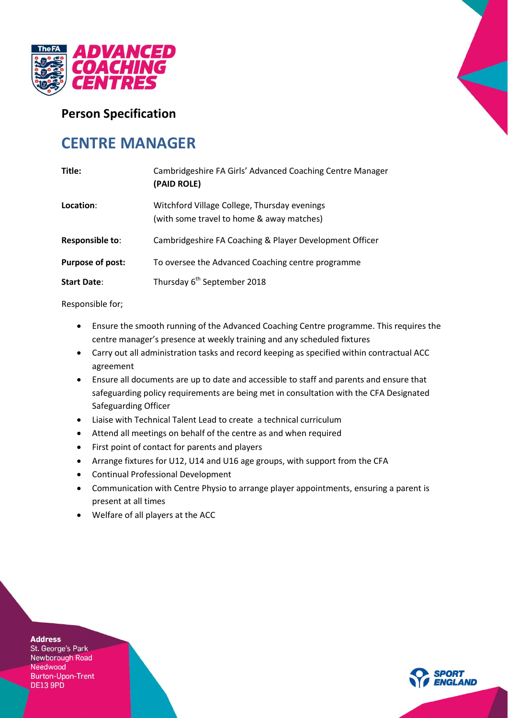

## **Person Specification**

# **CENTRE MANAGER**

| Title:                  | Cambridgeshire FA Girls' Advanced Coaching Centre Manager<br>(PAID ROLE)                  |
|-------------------------|-------------------------------------------------------------------------------------------|
| Location:               | Witchford Village College, Thursday evenings<br>(with some travel to home & away matches) |
| <b>Responsible to:</b>  | Cambridgeshire FA Coaching & Player Development Officer                                   |
| <b>Purpose of post:</b> | To oversee the Advanced Coaching centre programme                                         |
| <b>Start Date:</b>      | Thursday 6 <sup>th</sup> September 2018                                                   |

Responsible for;

- Ensure the smooth running of the Advanced Coaching Centre programme. This requires the centre manager's presence at weekly training and any scheduled fixtures
- Carry out all administration tasks and record keeping as specified within contractual ACC agreement
- Ensure all documents are up to date and accessible to staff and parents and ensure that safeguarding policy requirements are being met in consultation with the CFA Designated Safeguarding Officer
- Liaise with Technical Talent Lead to create a technical curriculum
- Attend all meetings on behalf of the centre as and when required
- First point of contact for parents and players
- Arrange fixtures for U12, U14 and U16 age groups, with support from the CFA
- Continual Professional Development
- Communication with Centre Physio to arrange player appointments, ensuring a parent is present at all times
- Welfare of all players at the ACC

**Address** St. George's Park Newborough Road Needwood Burton-Upon-Trent DE13 9PD